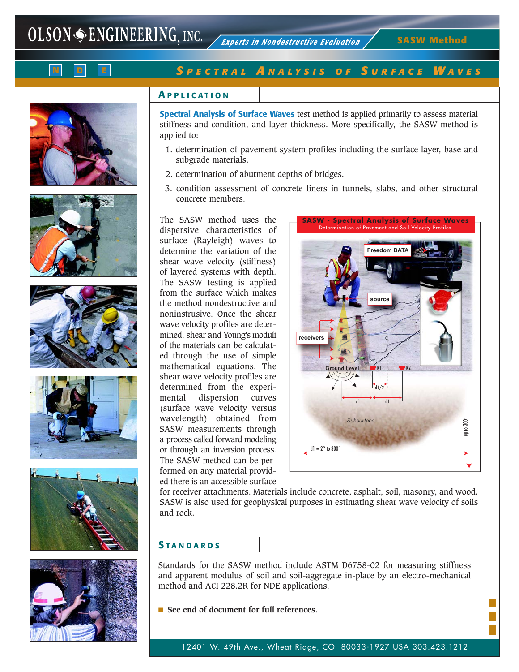

# *S PECTRAL A N A LY S I S O F S URFACE W AVES*

## **A PPLICATION**

**Spectral Analysis of Surface Waves** test method is applied primarily to assess material stiffness and condition, and layer thickness. More specifically, the SASW method is applied to:

- 1. determination of pavement system profiles including the surface layer, base and subgrade materials.
- 2. determination of abutment depths of bridges.
- 3. condition assessment of concrete liners in tunnels, slabs, and other structural concrete members.

The SASW method uses the dispersive characteristics of surface (Rayleigh) waves to determine the variation of the shear wave velocity (stiffness) of layered systems with depth. The SASW testing is applied from the surface which makes the method nondestructive and noninstrusive. Once the shear wave velocity profiles are determined, shear and Young's moduli of the materials can be calculated through the use of simple mathematical equations. The shear wave velocity profiles are determined from the experimental dispersion curves (surface wave velocity versus wavelength) obtained from SASW measurements through a process called forward modeling or through an inversion process. The SASW method can be performed on any material provided there is an accessible surface



for receiver attachments. Materials include concrete, asphalt, soil, masonry, and wood. SASW is also used for geophysical purposes in estimating shear wave velocity of soils and rock.

#### **S TANDARDS**

Standards for the SASW method include ASTM D6758-02 for measuring stiffness and apparent modulus of soil and soil-aggregate in-place by an electro-mechanical method and ACI 228.2R for NDE applications.

■ **See end of document for full references.** 

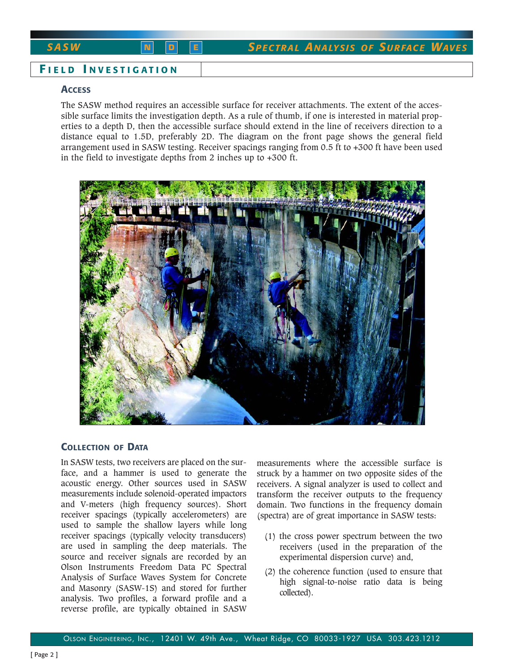*SASW* **N D <sup>E</sup>** *SPECTRAL ANA LY S I S O F SURFACE WAVES*

# **F IELD I NVESTIGATION**

### **ACCESS**

The SASW method requires an accessible surface for receiver attachments. The extent of the accessible surface limits the investigation depth. As a rule of thumb, if one is interested in material properties to a depth D, then the accessible surface should extend in the line of receivers direction to a distance equal to 1.5D, preferably 2D. The diagram on the front page shows the general field arrangement used in SASW testing. Receiver spacings ranging from 0.5 ft to +300 ft have been used in the field to investigate depths from 2 inches up to +300 ft.



# **COLLECTION OF DATA**

In SASW tests, two receivers are placed on the surface, and a hammer is used to generate the acoustic energy. Other sources used in SASW measurements include solenoid-operated impactors and V-meters (high frequency sources). Short receiver spacings (typically accelerometers) are used to sample the shallow layers while long receiver spacings (typically velocity transducers) are used in sampling the deep materials. The source and receiver signals are recorded by an Olson Instruments Freedom Data PC Spectral Analysis of Surface Waves System for Concrete and Masonry (SASW-1S) and stored for further analysis. Two profiles, a forward profile and a reverse profile, are typically obtained in SASW

measurements where the accessible surface is struck by a hammer on two opposite sides of the receivers. A signal analyzer is used to collect and transform the receiver outputs to the frequency domain. Two functions in the frequency domain (spectra) are of great importance in SASW tests:

- (1) the cross power spectrum between the two receivers (used in the preparation of the experimental dispersion curve) and,
- (2) the coherence function (used to ensure that high signal-to-noise ratio data is being collected).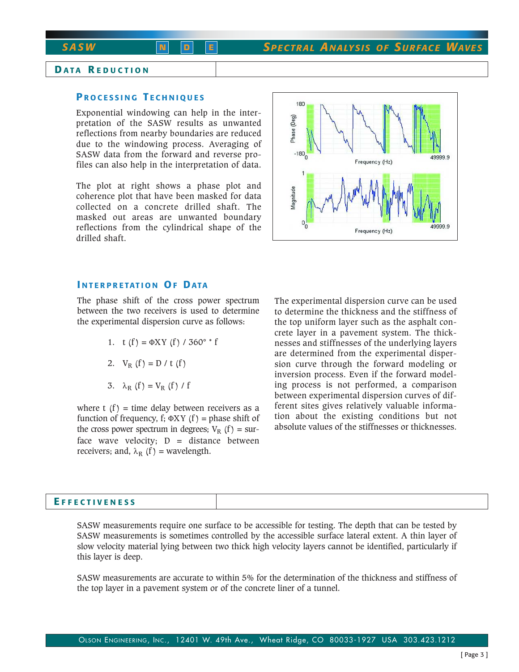# **D ATA R EDUCTION**

# **P ROCESSING T ECHNIQUES**

Exponential windowing can help in the interpretation of the SASW results as unwanted reflections from nearby boundaries are reduced due to the windowing process. Averaging of SASW data from the forward and reverse profiles can also help in the interpretation of data.

The plot at right shows a phase plot and coherence plot that have been masked for data collected on a concrete drilled shaft. The masked out areas are unwanted boundary reflections from the cylindrical shape of the drilled shaft.



#### **I NTERPRETATION OF DATA**

The phase shift of the cross power spectrum between the two receivers is used to determine the experimental dispersion curve as follows:

- 1. t  $(f) = \Phi XY (f) / 360^{\circ} * f$
- 2.  $V_R(f) = D / t (f)$
- 3.  $\lambda_R$  (f) = V<sub>R</sub> (f) / f

where t  $(f)$  = time delay between receivers as a function of frequency, f;  $\Phi XY$  (f) = phase shift of the cross power spectrum in degrees;  $V_R$  (f) = surface wave velocity;  $D =$  distance between receivers; and,  $\lambda_R$  (f) = wavelength.

The experimental dispersion curve can be used to determine the thickness and the stiffness of the top uniform layer such as the asphalt concrete layer in a pavement system. The thicknesses and stiffnesses of the underlying layers are determined from the experimental dispersion curve through the forward modeling or inversion process. Even if the forward modeling process is not performed, a comparison between experimental dispersion curves of different sites gives relatively valuable information about the existing conditions but not absolute values of the stiffnesses or thicknesses.

| <b>EFFECTIVENESS</b> |  |
|----------------------|--|
|                      |  |

SASW measurements require one surface to be accessible for testing. The depth that can be tested by SASW measurements is sometimes controlled by the accessible surface lateral extent. A thin layer of slow velocity material lying between two thick high velocity layers cannot be identified, particularly if this layer is deep.

SASW measurements are accurate to within 5% for the determination of the thickness and stiffness of the top layer in a pavement system or of the concrete liner of a tunnel.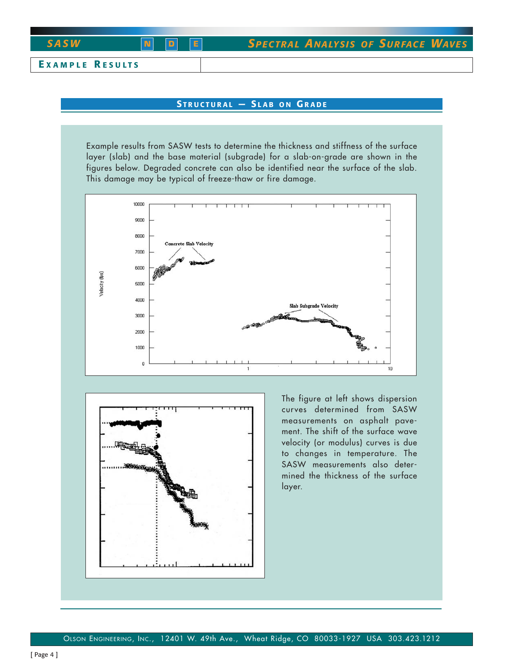

# **STRUCTURAL — S LAB ON G RADE**

Example results from SASW tests to determine the thickness and stiffness of the surface layer (slab) and the base material (subgrade) for a slab-on-grade are shown in the figures below. Degraded concrete can also be identified near the surface of the slab. This damage may be typical of freeze-thaw or fire damage.





The figure at left shows dispersion curves determined from SASW measurements on asphalt pavement. The shift of the surface wave velocity (or modulus) curves is due to changes in temperature. The SASW measurements also determined the thickness of the surface layer.